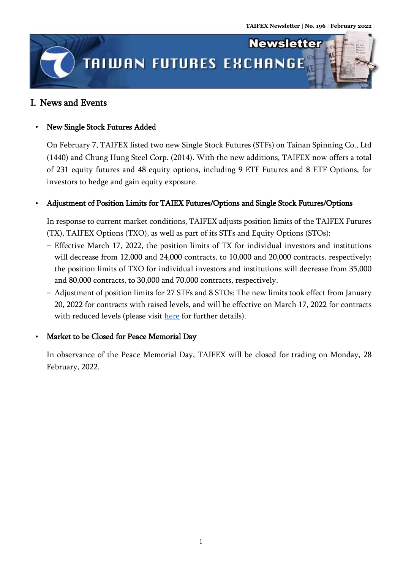

## I. News and Events

## New Single Stock Futures Added

On February 7, TAIFEX listed two new Single Stock Futures (STFs) on Tainan Spinning Co., Ltd (1440) and Chung Hung Steel Corp. (2014). With the new additions, TAIFEX now offers a total of 231 equity futures and 48 equity options, including 9 ETF Futures and 8 ETF Options, for investors to hedge and gain equity exposure.

## Adjustment of Position Limits for TAIEX Futures/Options and Single Stock Futures/Options

In response to current market conditions, TAIFEX adjusts position limits of the TAIFEX Futures (TX), TAIFEX Options (TXO), as well as part of its STFs and Equity Options (STOs):

- ‒ Effective March 17, 2022, the position limits of TX for individual investors and institutions will decrease from 12,000 and 24,000 contracts, to 10,000 and 20,000 contracts, respectively; the position limits of TXO for individual investors and institutions will decrease from 35,000 and 80,000 contracts, to 30,000 and 70,000 contracts, respectively.
- ‒ Adjustment of position limits for 27 STFs and 8 STOs: The new limits took effect from January 20, 2022 for contracts with raised levels, and will be effective on March 17, 2022 for contracts with reduced levels (please visit [here](https://www.taifex.com.tw/file/taifex/eng/eng11/%E8%8B%B1%E6%96%87%E9%99%84%E4%BB%B6.pdf) for further details).

## Market to be Closed for Peace Memorial Day

In observance of the Peace Memorial Day, TAIFEX will be closed for trading on Monday, 28 February, 2022.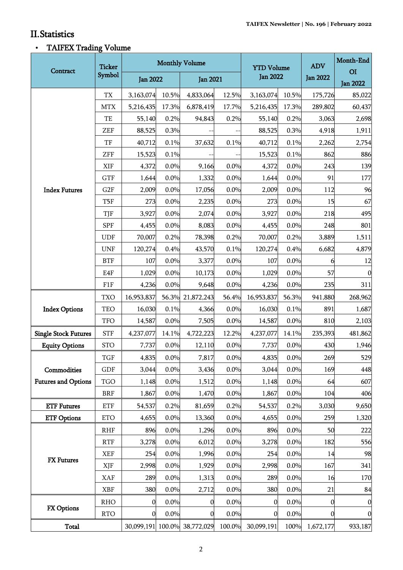.<br>Titul

## II.Statistics

# TAIFEX Trading Volume

|                                           | <b>Ticker</b><br>Symbol  | <b>Monthly Volume</b> |       |                              |        | <b>YTD Volume</b> |       | <b>ADV</b>      | Month-End                         |
|-------------------------------------------|--------------------------|-----------------------|-------|------------------------------|--------|-------------------|-------|-----------------|-----------------------------------|
| Contract                                  |                          | <b>Jan 2022</b>       |       | <b>Jan 2021</b>              |        | <b>Jan 2022</b>   |       | <b>Jan 2022</b> | O <sub>I</sub><br><b>Jan 2022</b> |
| <b>Index Futures</b>                      | $\mathcal{T}\mathcal{X}$ | 3,163,074             | 10.5% | 4,833,064                    | 12.5%  | 3,163,074         | 10.5% | 175,726         | 85,022                            |
|                                           | <b>MTX</b>               | 5,216,435             | 17.3% | 6,878,419                    | 17.7%  | 5,216,435         | 17.3% | 289,802         | 60,437                            |
|                                           | TE                       | 55,140                | 0.2%  | 94,843                       | 0.2%   | 55,140            | 0.2%  | 3,063           | 2,698                             |
|                                           | ZEF                      | 88,525                | 0.3%  |                              |        | 88,525            | 0.3%  | 4,918           | 1,911                             |
|                                           | TF                       | 40,712                | 0.1%  | 37,632                       | 0.1%   | 40,712            | 0.1%  | 2,262           | 2,754                             |
|                                           | <b>ZFF</b>               | 15,523                | 0.1%  |                              |        | 15,523            | 0.1%  | 862             | 886                               |
|                                           | XIF                      | 4,372                 | 0.0%  | 9,166                        | 0.0%   | 4,372             | 0.0%  | 243             | 139                               |
|                                           | <b>GTF</b>               | 1,644                 | 0.0%  | 1,332                        | 0.0%   | 1,644             | 0.0%  | 91              | 177                               |
|                                           | G <sub>2F</sub>          | 2,009                 | 0.0%  | 17,056                       | 0.0%   | 2,009             | 0.0%  | 112             | 96                                |
|                                           | T5F                      | 273                   | 0.0%  | 2,235                        | 0.0%   | 273               | 0.0%  | 15              | 67                                |
|                                           | TJF                      | 3,927                 | 0.0%  | 2,074                        | 0.0%   | 3,927             | 0.0%  | 218             | 495                               |
|                                           | <b>SPF</b>               | 4,455                 | 0.0%  | 8,083                        | 0.0%   | 4,455             | 0.0%  | 248             | 801                               |
|                                           | <b>UDF</b>               | 70,007                | 0.2%  | 78,398                       | 0.2%   | 70,007            | 0.2%  | 3,889           | 1,511                             |
|                                           | <b>UNF</b>               | 120,274               | 0.4%  | 43,570                       | 0.1%   | 120,274           | 0.4%  | 6,682           | 4,879                             |
|                                           | <b>BTF</b>               | 107                   | 0.0%  | 3,377                        | 0.0%   | 107               | 0.0%  | 6               | 12                                |
|                                           | E4F                      | 1,029                 | 0.0%  | 10,173                       | 0.0%   | 1,029             | 0.0%  | 57              | $\mathbf{0}$                      |
|                                           | F1F                      | 4,236                 | 0.0%  | 9,648                        | 0.0%   | 4,236             | 0.0%  | 235             | 311                               |
| <b>Index Options</b>                      | <b>TXO</b>               | 16,953,837            |       | 56.3% 21,872,243             | 56.4%  | 16,953,837        | 56.3% | 941,880         | 268,962                           |
|                                           | TEO                      | 16,030                | 0.1%  | 4,366                        | 0.0%   | 16,030            | 0.1%  | 891             | 1,687                             |
|                                           | <b>TFO</b>               | 14,587                | 0.0%  | 7,505                        | 0.0%   | 14,587            | 0.0%  | 810             | 2,103                             |
| <b>Single Stock Futures</b>               | <b>STF</b>               | 4,237,077             | 14.1% | 4,722,223                    | 12.2%  | 4,237,077         | 14.1% | 235,393         | 481,862                           |
| <b>Equity Options</b>                     | <b>STO</b>               | 7,737                 | 0.0%  | 12,110                       | 0.0%   | 7,737             | 0.0%  | 430             | 1,946                             |
| Commodities<br><b>Futures and Options</b> | <b>TGF</b>               | 4,835                 | 0.0%  | 7,817                        | 0.0%   | 4,835             | 0.0%  | 269             | 529                               |
|                                           | GDF                      | 3,044                 | 0.0%  | 3,436                        | 0.0%   | 3,044             | 0.0%  | 169             | 448                               |
|                                           | <b>TGO</b>               | 1,148                 | 0.0%  | 1,512                        | 0.0%   | 1,148             | 0.0%  | 64              | 607                               |
|                                           | <b>BRF</b>               | 1,867                 | 0.0%  | 1,470                        | 0.0%   | 1,867             | 0.0%  | 104             | 406                               |
| <b>ETF Futures</b>                        | <b>ETF</b>               | 54,537                | 0.2%  | 81,659                       | 0.2%   | 54,537            | 0.2%  | 3,030           | 9,650                             |
| <b>ETF Options</b>                        | <b>ETO</b>               | 4,655                 | 0.0%  | 13,360                       | 0.0%   | 4,655             | 0.0%  | 259             | 1,320                             |
| <b>FX</b> Futures                         | <b>RHF</b>               | 896                   | 0.0%  | 1,296                        | 0.0%   | 896               | 0.0%  | 50              | 222                               |
|                                           | <b>RTF</b>               | 3,278                 | 0.0%  | 6,012                        | 0.0%   | 3,278             | 0.0%  | 182             | 556                               |
|                                           | <b>XEF</b>               | 254                   | 0.0%  | 1,996                        | 0.0%   | 254               | 0.0%  | 14              | 98                                |
|                                           | XJF                      | 2,998                 | 0.0%  | 1,929                        | 0.0%   | 2,998             | 0.0%  | 167             | 341                               |
|                                           | XAF                      | 289                   | 0.0%  | 1,313                        | 0.0%   | 289               | 0.0%  | 16              | 170                               |
|                                           | <b>XBF</b>               | 380                   | 0.0%  | 2,712                        | 0.0%   | 380               | 0.0%  | 21              | 84                                |
| <b>FX Options</b>                         | <b>RHO</b>               | $\mathbf{0}$          | 0.0%  | $\mathbf{0}$                 | 0.0%   | $\mathbf 0$       | 0.0%  | 0               | $\boldsymbol{0}$                  |
|                                           | <b>RTO</b>               | $\mathbf{0}$          | 0.0%  | 0                            | 0.0%   | $\boldsymbol{0}$  | 0.0%  | 0               | $\boldsymbol{0}$                  |
| <b>Total</b>                              |                          |                       |       | 30,099,191 100.0% 38,772,029 | 100.0% | 30,099,191        | 100%  | 1,672,177       | 933,187                           |